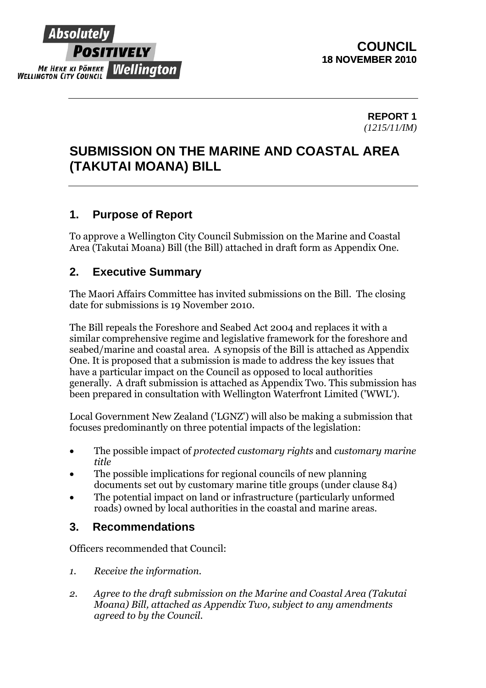

### **REPORT 1**  *(1215/11/IM)*

# **SUBMISSION ON THE MARINE AND COASTAL AREA (TAKUTAI MOANA) BILL**

## **1. Purpose of Report**

To approve a Wellington City Council Submission on the Marine and Coastal Area (Takutai Moana) Bill (the Bill) attached in draft form as Appendix One.

## **2. Executive Summary**

The Maori Affairs Committee has invited submissions on the Bill. The closing date for submissions is 19 November 2010.

The Bill repeals the Foreshore and Seabed Act 2004 and replaces it with a similar comprehensive regime and legislative framework for the foreshore and seabed/marine and coastal area. A synopsis of the Bill is attached as Appendix One. It is proposed that a submission is made to address the key issues that have a particular impact on the Council as opposed to local authorities generally. A draft submission is attached as Appendix Two. This submission has been prepared in consultation with Wellington Waterfront Limited ('WWL').

Local Government New Zealand ('LGNZ') will also be making a submission that focuses predominantly on three potential impacts of the legislation:

- The possible impact of *protected customary rights* and *customary marine title*
- The possible implications for regional councils of new planning documents set out by customary marine title groups (under clause 84)
- The potential impact on land or infrastructure (particularly unformed roads) owned by local authorities in the coastal and marine areas.

## **3. Recommendations**

Officers recommended that Council:

- *1. Receive the information.*
- *2. Agree to the draft submission on the Marine and Coastal Area (Takutai Moana) Bill, attached as Appendix Two, subject to any amendments agreed to by the Council.*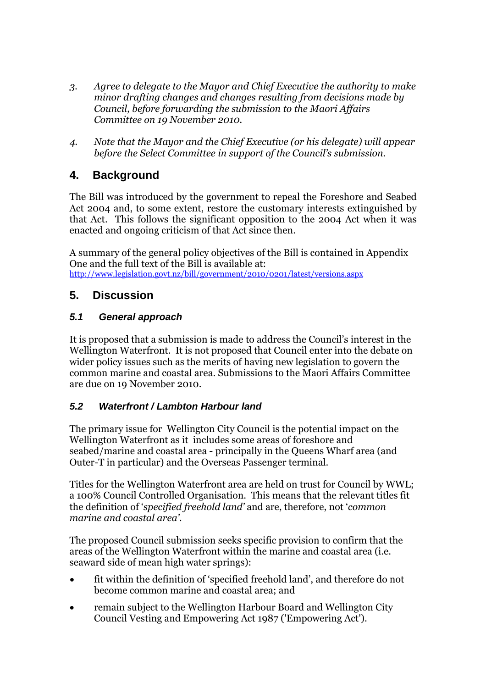- *3. Agree to delegate to the Mayor and Chief Executive the authority to make minor drafting changes and changes resulting from decisions made by Council, before forwarding the submission to the Maori Affairs Committee on 19 November 2010.*
- *4. Note that the Mayor and the Chief Executive (or his delegate) will appear before the Select Committee in support of the Council's submission.*

## **4. Background**

The Bill was introduced by the government to repeal the Foreshore and Seabed Act 2004 and, to some extent, restore the customary interests extinguished by that Act. This follows the significant opposition to the 2004 Act when it was enacted and ongoing criticism of that Act since then.

A summary of the general policy objectives of the Bill is contained in Appendix One and the full text of the Bill is available at: <http://www.legislation.govt.nz/bill/government/2010/0201/latest/versions.aspx>

## **5. Discussion**

## *5.1 General approach*

It is proposed that a submission is made to address the Council's interest in the Wellington Waterfront. It is not proposed that Council enter into the debate on wider policy issues such as the merits of having new legislation to govern the common marine and coastal area. Submissions to the Maori Affairs Committee are due on 19 November 2010.

## *5.2 Waterfront / Lambton Harbour land*

The primary issue for Wellington City Council is the potential impact on the Wellington Waterfront as it includes some areas of foreshore and seabed/marine and coastal area - principally in the Queens Wharf area (and Outer-T in particular) and the Overseas Passenger terminal.

Titles for the Wellington Waterfront area are held on trust for Council by WWL; a 100% Council Controlled Organisation. This means that the relevant titles fit the definition of '*specified freehold land'* and are, therefore, not '*common marine and coastal area'.* 

The proposed Council submission seeks specific provision to confirm that the areas of the Wellington Waterfront within the marine and coastal area (i.e. seaward side of mean high water springs):

- fit within the definition of 'specified freehold land', and therefore do not become common marine and coastal area; and
- remain subject to the Wellington Harbour Board and Wellington City Council Vesting and Empowering Act 1987 ('Empowering Act').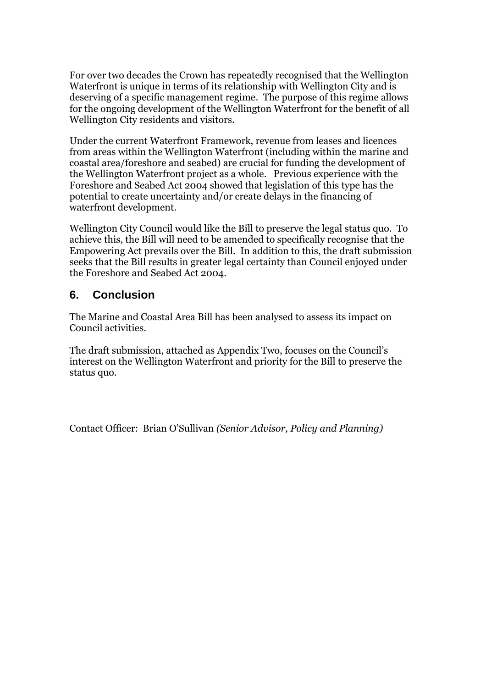For over two decades the Crown has repeatedly recognised that the Wellington Waterfront is unique in terms of its relationship with Wellington City and is deserving of a specific management regime. The purpose of this regime allows for the ongoing development of the Wellington Waterfront for the benefit of all Wellington City residents and visitors.

Under the current Waterfront Framework, revenue from leases and licences from areas within the Wellington Waterfront (including within the marine and coastal area/foreshore and seabed) are crucial for funding the development of the Wellington Waterfront project as a whole. Previous experience with the Foreshore and Seabed Act 2004 showed that legislation of this type has the potential to create uncertainty and/or create delays in the financing of waterfront development.

Wellington City Council would like the Bill to preserve the legal status quo. To achieve this, the Bill will need to be amended to specifically recognise that the Empowering Act prevails over the Bill. In addition to this, the draft submission seeks that the Bill results in greater legal certainty than Council enjoyed under the Foreshore and Seabed Act 2004.

## **6. Conclusion**

The Marine and Coastal Area Bill has been analysed to assess its impact on Council activities.

The draft submission, attached as Appendix Two, focuses on the Council's interest on the Wellington Waterfront and priority for the Bill to preserve the status quo.

Contact Officer: Brian O'Sullivan *(Senior Advisor, Policy and Planning)*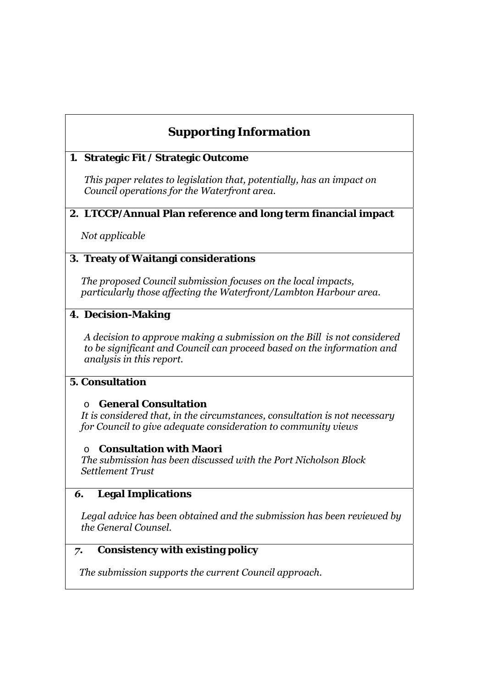## **Supporting Information**

#### **1. Strategic Fit / Strategic Outcome**

*This paper relates to legislation that, potentially, has an impact on Council operations for the Waterfront area.* 

#### **2. LTCCP/Annual Plan reference and long term financial impact**

*Not applicable* 

#### **3. Treaty of Waitangi considerations**

*The proposed Council submission focuses on the local impacts, particularly those affecting the Waterfront/Lambton Harbour area.* 

#### **4. Decision-Making**

*A decision to approve making a submission on the Bill is not considered to be significant and Council can proceed based on the information and analysis in this report.* 

#### **5. Consultation**

#### o **General Consultation**

*It is considered that, in the circumstances, consultation is not necessary for Council to give adequate consideration to community views* 

#### o **Consultation with Maori**

*The submission has been discussed with the Port Nicholson Block Settlement Trust* 

#### *6.* **Legal Implications**

*Legal advice has been obtained and the submission has been reviewed by the General Counsel.* 

## *7.* **Consistency with existing policy**

*The submission supports the current Council approach.*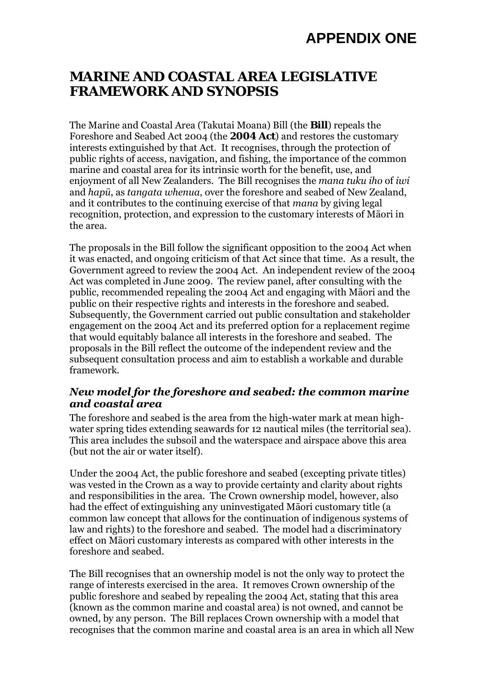# **APPENDIX ONE**

## **MARINE AND COASTAL AREA LEGISLATIVE FRAMEWORK AND SYNOPSIS**

The Marine and Coastal Area (Takutai Moana) Bill (the **Bill**) repeals the Foreshore and Seabed Act 2004 (the **2004 Act**) and restores the customary interests extinguished by that Act. It recognises, through the protection of public rights of access, navigation, and fishing, the importance of the common marine and coastal area for its intrinsic worth for the benefit, use, and enjoyment of all New Zealanders. The Bill recognises the *mana tuku iho* of *iwi*  and *hapū*, as *tangata whenua*, over the foreshore and seabed of New Zealand, and it contributes to the continuing exercise of that *mana* by giving legal recognition, protection, and expression to the customary interests of Māori in the area.

The proposals in the Bill follow the significant opposition to the 2004 Act when it was enacted, and ongoing criticism of that Act since that time. As a result, the Government agreed to review the 2004 Act. An independent review of the 2004 Act was completed in June 2009. The review panel, after consulting with the public, recommended repealing the 2004 Act and engaging with Māori and the public on their respective rights and interests in the foreshore and seabed. Subsequently, the Government carried out public consultation and stakeholder engagement on the 2004 Act and its preferred option for a replacement regime that would equitably balance all interests in the foreshore and seabed. The proposals in the Bill reflect the outcome of the independent review and the subsequent consultation process and aim to establish a workable and durable framework.

#### *New model for the foreshore and seabed: the common marine and coastal area*

The foreshore and seabed is the area from the high-water mark at mean highwater spring tides extending seawards for 12 nautical miles (the territorial sea). This area includes the subsoil and the waterspace and airspace above this area (but not the air or water itself).

Under the 2004 Act, the public foreshore and seabed (excepting private titles) was vested in the Crown as a way to provide certainty and clarity about rights and responsibilities in the area. The Crown ownership model, however, also had the effect of extinguishing any uninvestigated Māori customary title (a common law concept that allows for the continuation of indigenous systems of law and rights) to the foreshore and seabed. The model had a discriminatory effect on Māori customary interests as compared with other interests in the foreshore and seabed.

The Bill recognises that an ownership model is not the only way to protect the range of interests exercised in the area. It removes Crown ownership of the public foreshore and seabed by repealing the 2004 Act, stating that this area (known as the common marine and coastal area) is not owned, and cannot be owned, by any person. The Bill replaces Crown ownership with a model that recognises that the common marine and coastal area is an area in which all New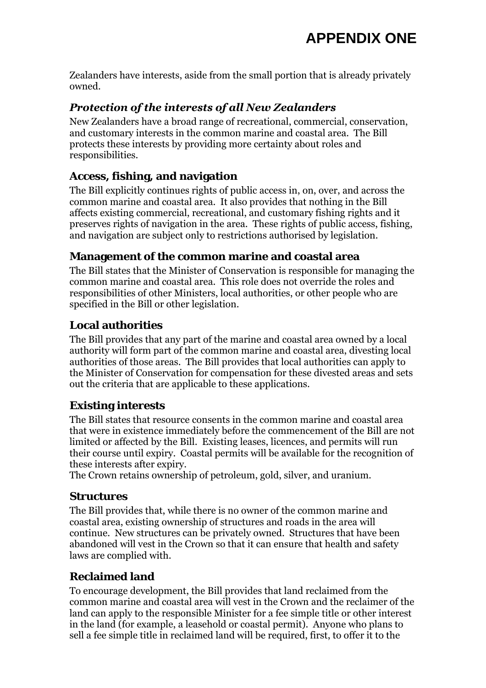Zealanders have interests, aside from the small portion that is already privately owned.

## *Protection of the interests of all New Zealanders*

New Zealanders have a broad range of recreational, commercial, conservation, and customary interests in the common marine and coastal area. The Bill protects these interests by providing more certainty about roles and responsibilities.

## **Access, fishing, and navigation**

The Bill explicitly continues rights of public access in, on, over, and across the common marine and coastal area. It also provides that nothing in the Bill affects existing commercial, recreational, and customary fishing rights and it preserves rights of navigation in the area. These rights of public access, fishing, and navigation are subject only to restrictions authorised by legislation.

### **Management of the common marine and coastal area**

The Bill states that the Minister of Conservation is responsible for managing the common marine and coastal area. This role does not override the roles and responsibilities of other Ministers, local authorities, or other people who are specified in the Bill or other legislation.

## **Local authorities**

The Bill provides that any part of the marine and coastal area owned by a local authority will form part of the common marine and coastal area, divesting local authorities of those areas. The Bill provides that local authorities can apply to the Minister of Conservation for compensation for these divested areas and sets out the criteria that are applicable to these applications.

## **Existing interests**

The Bill states that resource consents in the common marine and coastal area that were in existence immediately before the commencement of the Bill are not limited or affected by the Bill. Existing leases, licences, and permits will run their course until expiry. Coastal permits will be available for the recognition of these interests after expiry.

The Crown retains ownership of petroleum, gold, silver, and uranium.

## **Structures**

The Bill provides that, while there is no owner of the common marine and coastal area, existing ownership of structures and roads in the area will continue. New structures can be privately owned. Structures that have been abandoned will vest in the Crown so that it can ensure that health and safety laws are complied with.

## **Reclaimed land**

To encourage development, the Bill provides that land reclaimed from the common marine and coastal area will vest in the Crown and the reclaimer of the land can apply to the responsible Minister for a fee simple title or other interest in the land (for example, a leasehold or coastal permit). Anyone who plans to sell a fee simple title in reclaimed land will be required, first, to offer it to the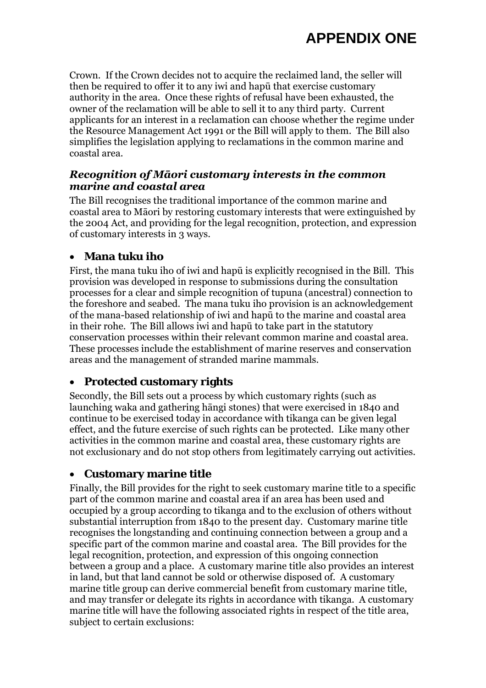Crown. If the Crown decides not to acquire the reclaimed land, the seller will then be required to offer it to any iwi and hapū that exercise customary authority in the area. Once these rights of refusal have been exhausted, the owner of the reclamation will be able to sell it to any third party. Current applicants for an interest in a reclamation can choose whether the regime under the Resource Management Act 1991 or the Bill will apply to them. The Bill also simplifies the legislation applying to reclamations in the common marine and coastal area.

### *Recognition of Māori customary interests in the common marine and coastal area*

The Bill recognises the traditional importance of the common marine and coastal area to Māori by restoring customary interests that were extinguished by the 2004 Act, and providing for the legal recognition, protection, and expression of customary interests in 3 ways.

## **Mana tuku iho**

First, the mana tuku iho of iwi and hapū is explicitly recognised in the Bill. This provision was developed in response to submissions during the consultation processes for a clear and simple recognition of tupuna (ancestral) connection to the foreshore and seabed. The mana tuku iho provision is an acknowledgement of the mana-based relationship of iwi and hapū to the marine and coastal area in their rohe. The Bill allows iwi and hapū to take part in the statutory conservation processes within their relevant common marine and coastal area. These processes include the establishment of marine reserves and conservation areas and the management of stranded marine mammals.

## **Protected customary rights**

Secondly, the Bill sets out a process by which customary rights (such as launching waka and gathering hāngi stones) that were exercised in 1840 and continue to be exercised today in accordance with tikanga can be given legal effect, and the future exercise of such rights can be protected. Like many other activities in the common marine and coastal area, these customary rights are not exclusionary and do not stop others from legitimately carrying out activities.

#### **Customary marine title**

Finally, the Bill provides for the right to seek customary marine title to a specific part of the common marine and coastal area if an area has been used and occupied by a group according to tikanga and to the exclusion of others without substantial interruption from 1840 to the present day. Customary marine title recognises the longstanding and continuing connection between a group and a specific part of the common marine and coastal area. The Bill provides for the legal recognition, protection, and expression of this ongoing connection between a group and a place. A customary marine title also provides an interest in land, but that land cannot be sold or otherwise disposed of. A customary marine title group can derive commercial benefit from customary marine title, and may transfer or delegate its rights in accordance with tikanga. A customary marine title will have the following associated rights in respect of the title area, subject to certain exclusions: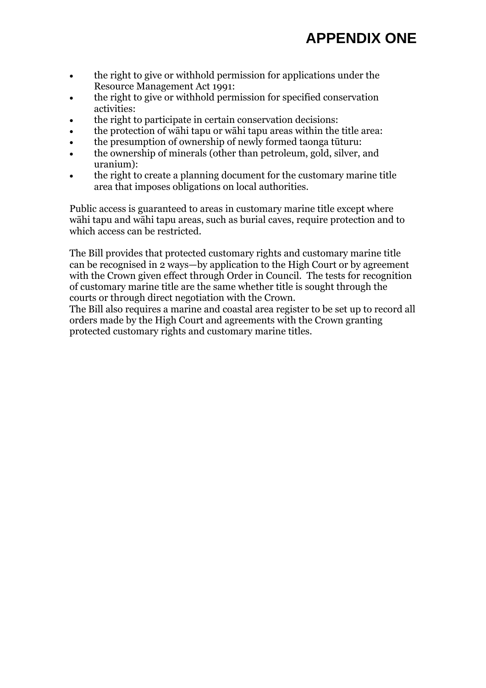- the right to give or withhold permission for applications under the Resource Management Act 1991:
- the right to give or withhold permission for specified conservation activities:
- the right to participate in certain conservation decisions:
- the protection of wāhi tapu or wāhi tapu areas within the title area:
- the presumption of ownership of newly formed taonga tūturu:
- the ownership of minerals (other than petroleum, gold, silver, and uranium):
- the right to create a planning document for the customary marine title area that imposes obligations on local authorities.

Public access is guaranteed to areas in customary marine title except where wāhi tapu and wāhi tapu areas, such as burial caves, require protection and to which access can be restricted.

The Bill provides that protected customary rights and customary marine title can be recognised in 2 ways—by application to the High Court or by agreement with the Crown given effect through Order in Council. The tests for recognition of customary marine title are the same whether title is sought through the courts or through direct negotiation with the Crown.

The Bill also requires a marine and coastal area register to be set up to record all orders made by the High Court and agreements with the Crown granting protected customary rights and customary marine titles.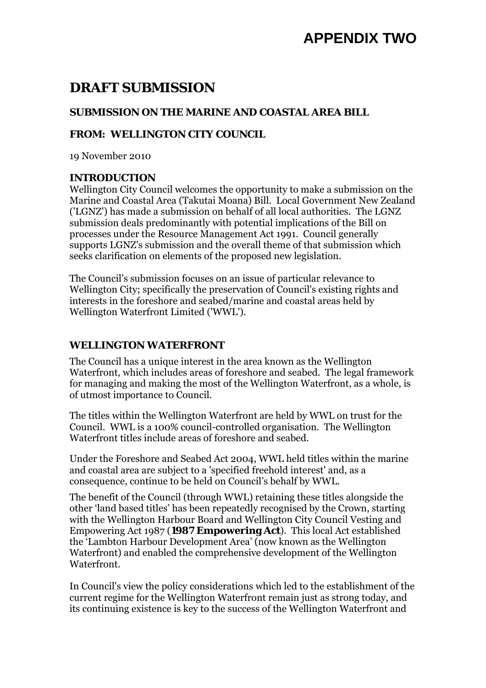# **APPENDIX TWO**

# **DRAFT SUBMISSION**

### **SUBMISSION ON THE MARINE AND COASTAL AREA BILL**

#### **FROM: WELLINGTON CITY COUNCIL**

19 November 2010

#### **INTRODUCTION**

Wellington City Council welcomes the opportunity to make a submission on the Marine and Coastal Area (Takutai Moana) Bill. Local Government New Zealand ('LGNZ') has made a submission on behalf of all local authorities. The LGNZ submission deals predominantly with potential implications of the Bill on processes under the Resource Management Act 1991. Council generally supports LGNZ's submission and the overall theme of that submission which seeks clarification on elements of the proposed new legislation.

The Council's submission focuses on an issue of particular relevance to Wellington City; specifically the preservation of Council's existing rights and interests in the foreshore and seabed/marine and coastal areas held by Wellington Waterfront Limited ('WWL').

#### **WELLINGTON WATERFRONT**

The Council has a unique interest in the area known as the Wellington Waterfront, which includes areas of foreshore and seabed. The legal framework for managing and making the most of the Wellington Waterfront, as a whole, is of utmost importance to Council.

The titles within the Wellington Waterfront are held by WWL on trust for the Council. WWL is a 100% council-controlled organisation. The Wellington Waterfront titles include areas of foreshore and seabed.

Under the Foreshore and Seabed Act 2004, WWL held titles within the marine and coastal area are subject to a 'specified freehold interest' and, as a consequence, continue to be held on Council's behalf by WWL.

The benefit of the Council (through WWL) retaining these titles alongside the other 'land based titles' has been repeatedly recognised by the Crown, starting with the Wellington Harbour Board and Wellington City Council Vesting and Empowering Act 1987 (**1987 Empowering Act**). This local Act established the 'Lambton Harbour Development Area' (now known as the Wellington Waterfront) and enabled the comprehensive development of the Wellington Waterfront.

In Council's view the policy considerations which led to the establishment of the current regime for the Wellington Waterfront remain just as strong today, and its continuing existence is key to the success of the Wellington Waterfront and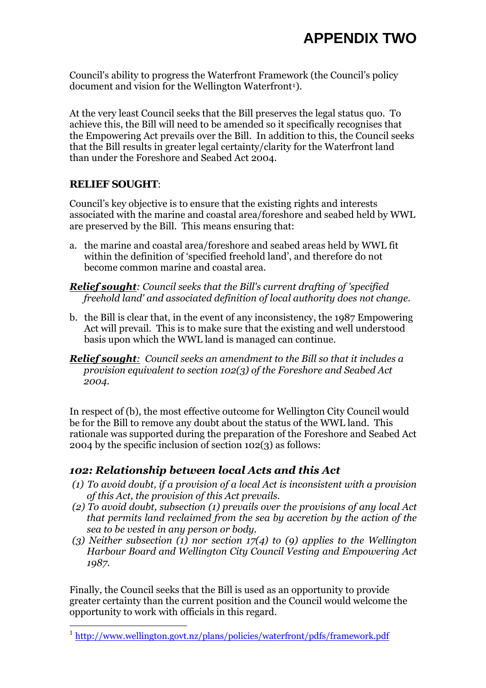Council's ability to progress the Waterfront Framework (the Council's policy document and vision for the Wellington Waterfront<sup>[1](#page-9-0)</sup>).

At the very least Council seeks that the Bill preserves the legal status quo. To achieve this, the Bill will need to be amended so it specifically recognises that the Empowering Act prevails over the Bill. In addition to this, the Council seeks that the Bill results in greater legal certainty/clarity for the Waterfront land than under the Foreshore and Seabed Act 2004.

#### **RELIEF SOUGHT**:

 $\overline{a}$ 

Council's key objective is to ensure that the existing rights and interests associated with the marine and coastal area/foreshore and seabed held by WWL are preserved by the Bill. This means ensuring that:

- a. the marine and coastal area/foreshore and seabed areas held by WWL fit within the definition of 'specified freehold land', and therefore do not become common marine and coastal area.
- *Relief sought: Council seeks that the Bill's current drafting of 'specified freehold land' and associated definition of local authority does not change.*
- b. the Bill is clear that, in the event of any inconsistency, the 1987 Empowering Act will prevail. This is to make sure that the existing and well understood basis upon which the WWL land is managed can continue.
- *Relief sought: Council seeks an amendment to the Bill so that it includes a provision equivalent to section 102(3) of the Foreshore and Seabed Act 2004.*

In respect of (b), the most effective outcome for Wellington City Council would be for the Bill to remove any doubt about the status of the WWL land. This rationale was supported during the preparation of the Foreshore and Seabed Act 2004 by the specific inclusion of section 102(3) as follows:

## *102: Relationship between local Acts and this Act*

- *(1) To avoid doubt, if a provision of a local Act is inconsistent with a provision of this Act, the provision of this Act prevails.*
- *(2) To avoid doubt, subsection (1) prevails over the provisions of any local Act that permits land reclaimed from the sea by accretion by the action of the sea to be vested in any person or body.*
- *(3) Neither subsection (1) nor section 17(4) to (9) applies to the Wellington Harbour Board and Wellington City Council Vesting and Empowering Act 1987.*

Finally, the Council seeks that the Bill is used as an opportunity to provide greater certainty than the current position and the Council would welcome the opportunity to work with officials in this regard.

<span id="page-9-0"></span><sup>&</sup>lt;sup>1</sup> <http://www.wellington.govt.nz/plans/policies/waterfront/pdfs/framework.pdf>